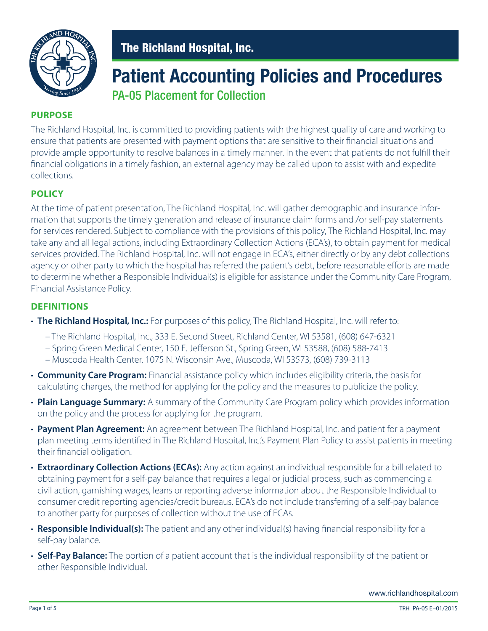

### **Patient Accounting Policies and Procedures** PA-05 Placement for Collection

#### **PURPOSE**

The Richland Hospital, Inc. is committed to providing patients with the highest quality of care and working to ensure that patients are presented with payment options that are sensitive to their financial situations and provide ample opportunity to resolve balances in a timely manner. In the event that patients do not fulfill their financial obligations in a timely fashion, an external agency may be called upon to assist with and expedite collections.

#### **POLICY**

At the time of patient presentation, The Richland Hospital, Inc. will gather demographic and insurance information that supports the timely generation and release of insurance claim forms and /or self-pay statements for services rendered. Subject to compliance with the provisions of this policy, The Richland Hospital, Inc. may take any and all legal actions, including Extraordinary Collection Actions (ECA's), to obtain payment for medical services provided. The Richland Hospital, Inc. will not engage in ECA's, either directly or by any debt collections agency or other party to which the hospital has referred the patient's debt, before reasonable efforts are made to determine whether a Responsible lndividual(s) is eligible for assistance under the Community Care Program, Financial Assistance Policy.

#### **DEFINITIONS**

- **The Richland Hospital, Inc.:** For purposes of this policy, The Richland Hospital, Inc. will refer to:
	- The Richland Hospital, Inc., 333 E. Second Street, Richland Center, WI 53581, (608) 647-6321
	- Spring Green Medical Center, 150 E. Jefferson St., Spring Green, WI 53588, (608) 588-7413
	- Muscoda Health Center, 1075 N. Wisconsin Ave., Muscoda, WI 53573, (608) 739-3113
- **Community Care Program:** Financial assistance policy which includes eligibility criteria, the basis for calculating charges, the method for applying for the policy and the measures to publicize the policy.
- **Plain Language Summary:** A summary of the Community Care Program policy which provides information on the policy and the process for applying for the program.
- **Payment Plan Agreement:** An agreement between The Richland Hospital, Inc. and patient for a payment plan meeting terms identified in The Richland Hospital, lnc.'s Payment Plan Policy to assist patients in meeting their financial obligation.
- **Extraordinary Collection Actions (ECAs):** Any action against an individual responsible for a bill related to obtaining payment for a self-pay balance that requires a legal or judicial process, such as commencing a civil action, garnishing wages, leans or reporting adverse information about the Responsible Individual to consumer credit reporting agencies/credit bureaus. ECA's do not include transferring of a self-pay balance to another party for purposes of collection without the use of ECAs.
- **Responsible lndividual(s):** The patient and any other individual(s) having financial responsibility for a self-pay balance.
- **Self-Pay Balance:** The portion of a patient account that is the individual responsibility of the patient or other Responsible Individual.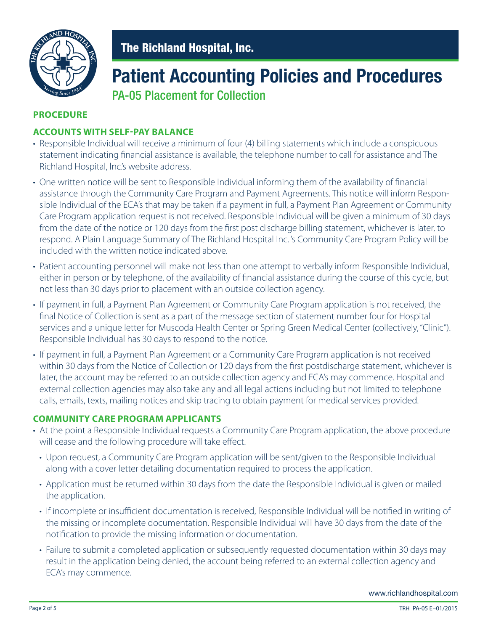

# **Patient Accounting Policies and Procedures**

PA-05 Placement for Collection

#### **PROCEDURE**

#### **ACCOUNTS WITH SELF-PAY BALANCE**

- Responsible Individual will receive a minimum of four (4) billing statements which include a conspicuous statement indicating financial assistance is available, the telephone number to call for assistance and The Richland Hospital, lnc.'s website address.
- One written notice will be sent to Responsible Individual informing them of the availability of financial assistance through the Community Care Program and Payment Agreements. This notice will inform Responsible Individual of the ECA's that may be taken if a payment in full, a Payment Plan Agreement or Community Care Program application request is not received. Responsible Individual will be given a minimum of 30 days from the date of the notice or 120 days from the first post discharge billing statement, whichever is later, to respond. A Plain Language Summary of The Richland Hospital Inc. 's Community Care Program Policy will be included with the written notice indicated above.
- Patient accounting personnel will make not less than one attempt to verbally inform Responsible Individual, either in person or by telephone, of the availability of financial assistance during the course of this cycle, but not less than 30 days prior to placement with an outside collection agency.
- If payment in full, a Payment Plan Agreement or Community Care Program application is not received, the final Notice of Collection is sent as a part of the message section of statement number four for Hospital services and a unique letter for Muscoda Health Center or Spring Green Medical Center (collectively, "Clinic"). Responsible Individual has 30 days to respond to the notice.
- If payment in full, a Payment Plan Agreement or a Community Care Program application is not received within 30 days from the Notice of Collection or 120 days from the first postdischarge statement, whichever is later, the account may be referred to an outside collection agency and ECA's may commence. Hospital and external collection agencies may also take any and all legal actions including but not limited to telephone calls, emails, texts, mailing notices and skip tracing to obtain payment for medical services provided.

#### **COMMUNITY CARE PROGRAM APPLICANTS**

- At the point a Responsible Individual requests a Community Care Program application, the above procedure will cease and the following procedure will take effect.
	- Upon request, a Community Care Program application will be sent/given to the Responsible Individual along with a cover letter detailing documentation required to process the application.
	- Application must be returned within 30 days from the date the Responsible Individual is given or mailed the application.
	- If incomplete or insufficient documentation is received, Responsible Individual will be notified in writing of the missing or incomplete documentation. Responsible Individual will have 30 days from the date of the notification to provide the missing information or documentation.
	- Failure to submit a completed application or subsequently requested documentation within 30 days may result in the application being denied, the account being referred to an external collection agency and ECA's may commence.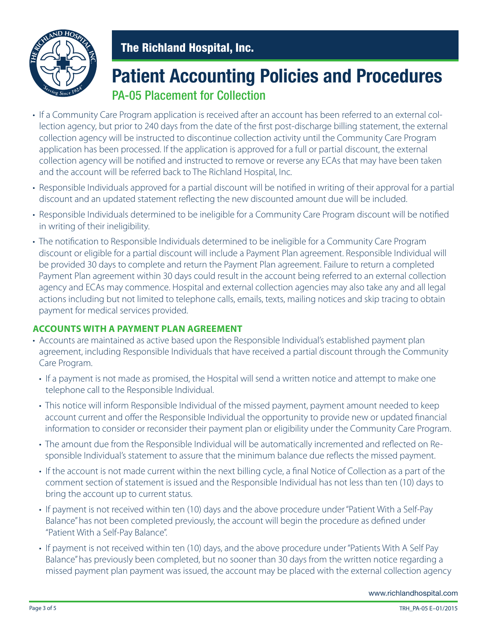

## **Patient Accounting Policies and Procedures** PA-05 Placement for Collection

- If a Community Care Program application is received after an account has been referred to an external collection agency, but prior to 240 days from the date of the first post-discharge billing statement, the external collection agency will be instructed to discontinue collection activity until the Community Care Program application has been processed. If the application is approved for a full or partial discount, the external collection agency will be notified and instructed to remove or reverse any ECAs that may have been taken and the account will be referred back to The Richland Hospital, Inc.
- Responsible Individuals approved for a partial discount will be notified in writing of their approval for a partial discount and an updated statement reflecting the new discounted amount due will be included.
- Responsible Individuals determined to be ineligible for a Community Care Program discount will be notified in writing of their ineligibility.
- The notification to Responsible Individuals determined to be ineligible for a Community Care Program discount or eligible for a partial discount will include a Payment Plan agreement. Responsible Individual will be provided 30 days to complete and return the Payment Plan agreement. Failure to return a completed Payment Plan agreement within 30 days could result in the account being referred to an external collection agency and ECAs may commence. Hospital and external collection agencies may also take any and all legal actions including but not limited to telephone calls, emails, texts, mailing notices and skip tracing to obtain payment for medical services provided.

#### **ACCOUNTS WITH A PAYMENT PLAN AGREEMENT**

- Accounts are maintained as active based upon the Responsible Individual's established payment plan agreement, including Responsible Individuals that have received a partial discount through the Community Care Program.
	- If a payment is not made as promised, the Hospital will send a written notice and attempt to make one telephone call to the Responsible Individual.
	- This notice will inform Responsible Individual of the missed payment, payment amount needed to keep account current and offer the Responsible Individual the opportunity to provide new or updated financial information to consider or reconsider their payment plan or eligibility under the Community Care Program.
	- The amount due from the Responsible Individual will be automatically incremented and reflected on Responsible Individual's statement to assure that the minimum balance due reflects the missed payment.
	- If the account is not made current within the next billing cycle, a final Notice of Collection as a part of the comment section of statement is issued and the Responsible Individual has not less than ten (10) days to bring the account up to current status.
	- If payment is not received within ten (10) days and the above procedure under "Patient With a Self-Pay Balance" has not been completed previously, the account will begin the procedure as defined under "Patient With a Self-Pay Balance".
	- If payment is not received within ten (10) days, and the above procedure under "Patients With A Self Pay Balance" has previously been completed, but no sooner than 30 days from the written notice regarding a missed payment plan payment was issued, the account may be placed with the external collection agency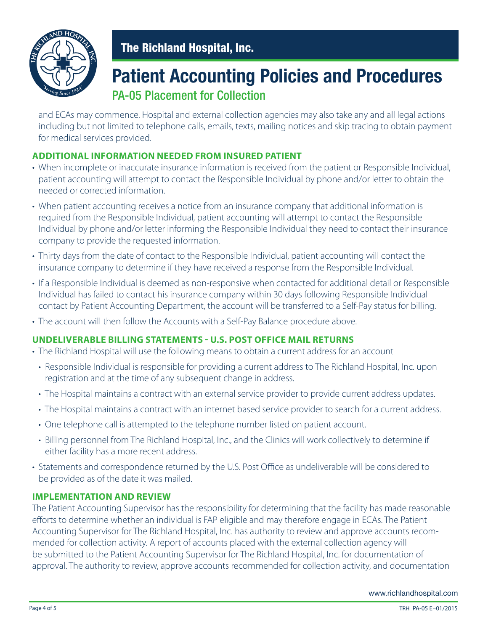

### **Patient Accounting Policies and Procedures** PA-05 Placement for Collection

 and ECAs may commence. Hospital and external collection agencies may also take any and all legal actions including but not limited to telephone calls, emails, texts, mailing notices and skip tracing to obtain payment for medical services provided.

#### **ADDITIONAL INFORMATION NEEDED FROM INSURED PATIENT**

- When incomplete or inaccurate insurance information is received from the patient or Responsible Individual, patient accounting will attempt to contact the Responsible Individual by phone and/or letter to obtain the needed or corrected information.
- When patient accounting receives a notice from an insurance company that additional information is required from the Responsible Individual, patient accounting will attempt to contact the Responsible Individual by phone and/or letter informing the Responsible Individual they need to contact their insurance company to provide the requested information.
- Thirty days from the date of contact to the Responsible Individual, patient accounting will contact the insurance company to determine if they have received a response from the Responsible Individual.
- If a Responsible Individual is deemed as non-responsive when contacted for additional detail or Responsible Individual has failed to contact his insurance company within 30 days following Responsible Individual contact by Patient Accounting Department, the account will be transferred to a Self-Pay status for billing.
- The account will then follow the Accounts with a Self-Pay Balance procedure above.

#### **UNDELIVERABLE BILLING STATEMENTS - U.S. POST OFFICE MAIL RETURNS**

- The Richland Hospital will use the following means to obtain a current address for an account
	- Responsible Individual is responsible for providing a current address to The Richland Hospital, Inc. upon registration and at the time of any subsequent change in address.
	- The Hospital maintains a contract with an external service provider to provide current address updates.
	- The Hospital maintains a contract with an internet based service provider to search for a current address.
	- One telephone call is attempted to the telephone number listed on patient account.
	- Billing personnel from The Richland Hospital, Inc., and the Clinics will work collectively to determine if either facility has a more recent address.
- Statements and correspondence returned by the U.S. Post Office as undeliverable will be considered to be provided as of the date it was mailed.

#### **IMPLEMENTATION AND REVIEW**

The Patient Accounting Supervisor has the responsibility for determining that the facility has made reasonable efforts to determine whether an individual is FAP eligible and may therefore engage in ECAs. The Patient Accounting Supervisor for The Richland Hospital, Inc. has authority to review and approve accounts recommended for collection activity. A report of accounts placed with the external collection agency will be submitted to the Patient Accounting Supervisor for The Richland Hospital, Inc. for documentation of approval. The authority to review, approve accounts recommended for collection activity, and documentation